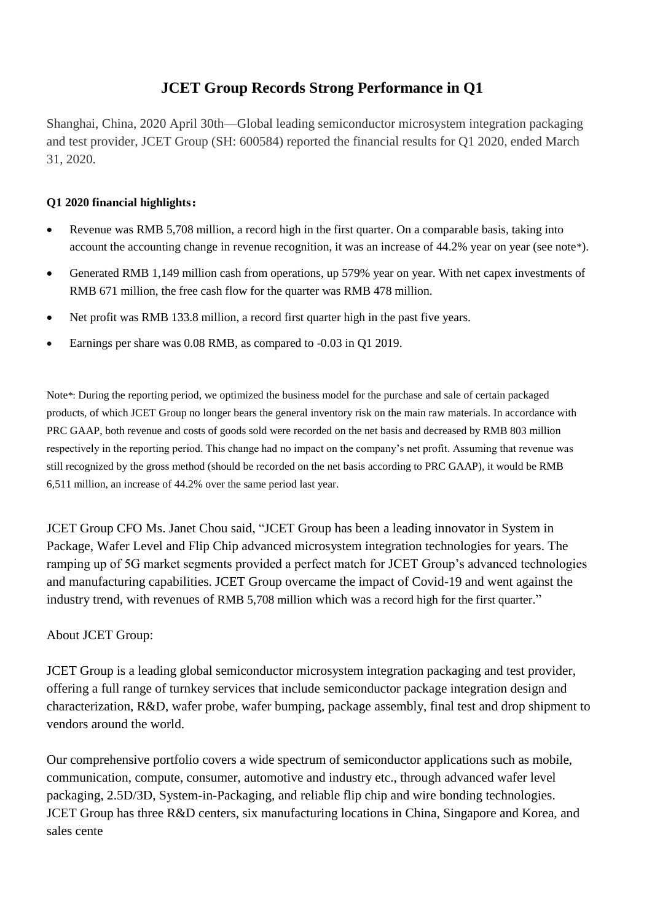# **JCET Group Records Strong Performance in Q1**

Shanghai, China, 2020 April 30th—Global leading semiconductor microsystem integration packaging and test provider, JCET Group (SH: 600584) reported the financial results for Q1 2020, ended March 31, 2020.

## **Q1 2020 financial highlights:**

- Revenue was RMB 5,708 million, a record high in the first quarter. On a comparable basis, taking into account the accounting change in revenue recognition, it was an increase of 44.2% year on year (see note\*).
- Generated RMB 1,149 million cash from operations, up 579% year on year. With net capex investments of RMB 671 million, the free cash flow for the quarter was RMB 478 million.
- Net profit was RMB 133.8 million, a record first quarter high in the past five years.
- Earnings per share was 0.08 RMB, as compared to -0.03 in Q1 2019.

Note\*: During the reporting period, we optimized the business model for the purchase and sale of certain packaged products, of which JCET Group no longer bears the general inventory risk on the main raw materials. In accordance with PRC GAAP, both revenue and costs of goods sold were recorded on the net basis and decreased by RMB 803 million respectively in the reporting period. This change had no impact on the company's net profit. Assuming that revenue was still recognized by the gross method (should be recorded on the net basis according to PRC GAAP), it would be RMB 6,511 million, an increase of 44.2% over the same period last year.

JCET Group CFO Ms. Janet Chou said, "JCET Group has been a leading innovator in System in Package, Wafer Level and Flip Chip advanced microsystem integration technologies for years. The ramping up of 5G market segments provided a perfect match for JCET Group's advanced technologies and manufacturing capabilities. JCET Group overcame the impact of Covid-19 and went against the industry trend, with revenues of RMB 5,708 million which was a record high for the first quarter."

## About JCET Group:

JCET Group is a leading global semiconductor microsystem integration packaging and test provider, offering a full range of turnkey services that include semiconductor package integration design and characterization, R&D, wafer probe, wafer bumping, package assembly, final test and drop shipment to vendors around the world.

Our comprehensive portfolio covers a wide spectrum of semiconductor applications such as mobile, communication, compute, consumer, automotive and industry etc., through advanced wafer level packaging, 2.5D/3D, System-in-Packaging, and reliable flip chip and wire bonding technologies. JCET Group has three R&D centers, six manufacturing locations in China, Singapore and Korea, and sales cente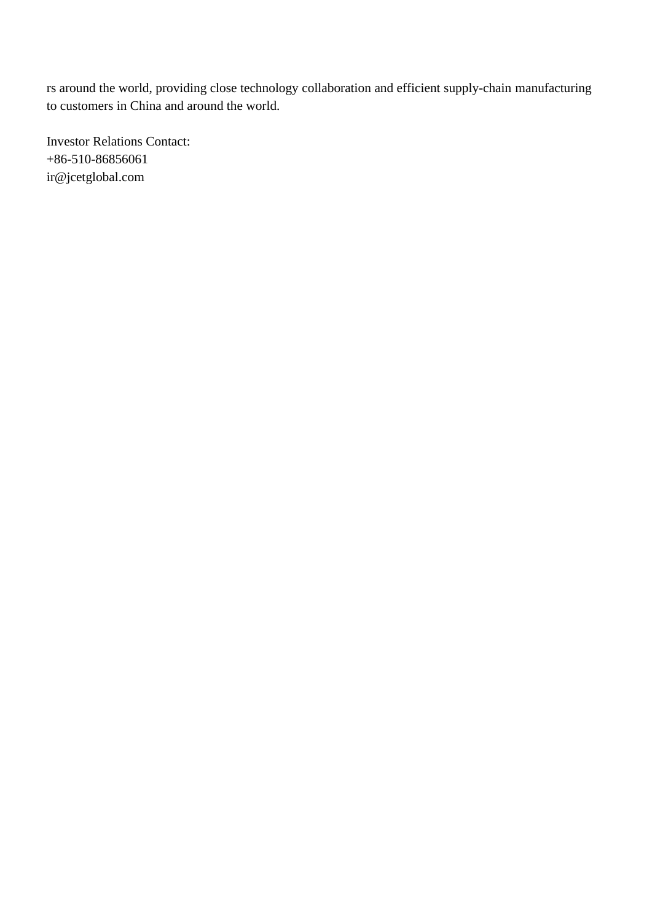rs around the world, providing close technology collaboration and efficient supply-chain manufacturing to customers in China and around the world.

Investor Relations Contact: +86-510-86856061 ir@jcetglobal.com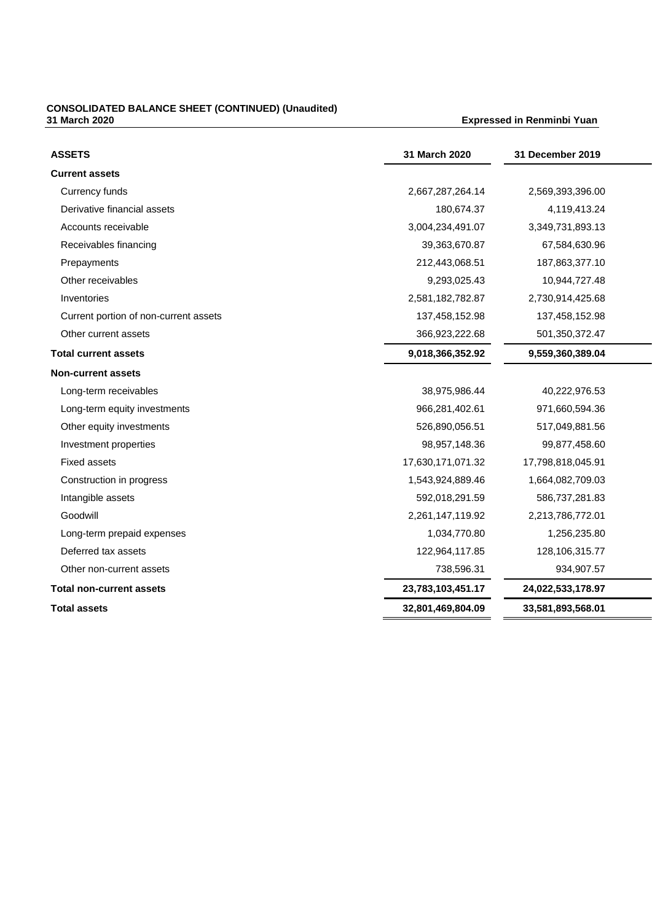### **CONSOLIDATED BALANCE SHEET (CONTINUED) (Unaudited) 31 March 2020 Expressed in Renminbi Yuan**

| <b>ASSETS</b>                         | 31 March 2020     | 31 December 2019  |  |
|---------------------------------------|-------------------|-------------------|--|
| <b>Current assets</b>                 |                   |                   |  |
| Currency funds                        | 2,667,287,264.14  | 2,569,393,396.00  |  |
| Derivative financial assets           | 180,674.37        | 4,119,413.24      |  |
| Accounts receivable                   | 3,004,234,491.07  | 3,349,731,893.13  |  |
| Receivables financing                 | 39,363,670.87     | 67,584,630.96     |  |
| Prepayments                           | 212,443,068.51    | 187,863,377.10    |  |
| Other receivables                     | 9,293,025.43      | 10,944,727.48     |  |
| Inventories                           | 2,581,182,782.87  | 2,730,914,425.68  |  |
| Current portion of non-current assets | 137,458,152.98    | 137,458,152.98    |  |
| Other current assets                  | 366,923,222.68    | 501,350,372.47    |  |
| <b>Total current assets</b>           | 9,018,366,352.92  | 9,559,360,389.04  |  |
| <b>Non-current assets</b>             |                   |                   |  |
| Long-term receivables                 | 38,975,986.44     | 40,222,976.53     |  |
| Long-term equity investments          | 966,281,402.61    | 971,660,594.36    |  |
| Other equity investments              | 526,890,056.51    | 517,049,881.56    |  |
| Investment properties                 | 98,957,148.36     | 99,877,458.60     |  |
| <b>Fixed assets</b>                   | 17,630,171,071.32 | 17,798,818,045.91 |  |
| Construction in progress              | 1,543,924,889.46  | 1,664,082,709.03  |  |
| Intangible assets                     | 592,018,291.59    | 586,737,281.83    |  |
| Goodwill                              | 2,261,147,119.92  | 2,213,786,772.01  |  |
| Long-term prepaid expenses            | 1,034,770.80      | 1,256,235.80      |  |
| Deferred tax assets                   | 122,964,117.85    | 128,106,315.77    |  |
| Other non-current assets              | 738,596.31        | 934,907.57        |  |
| <b>Total non-current assets</b>       | 23,783,103,451.17 | 24,022,533,178.97 |  |
| <b>Total assets</b>                   | 32,801,469,804.09 | 33,581,893,568.01 |  |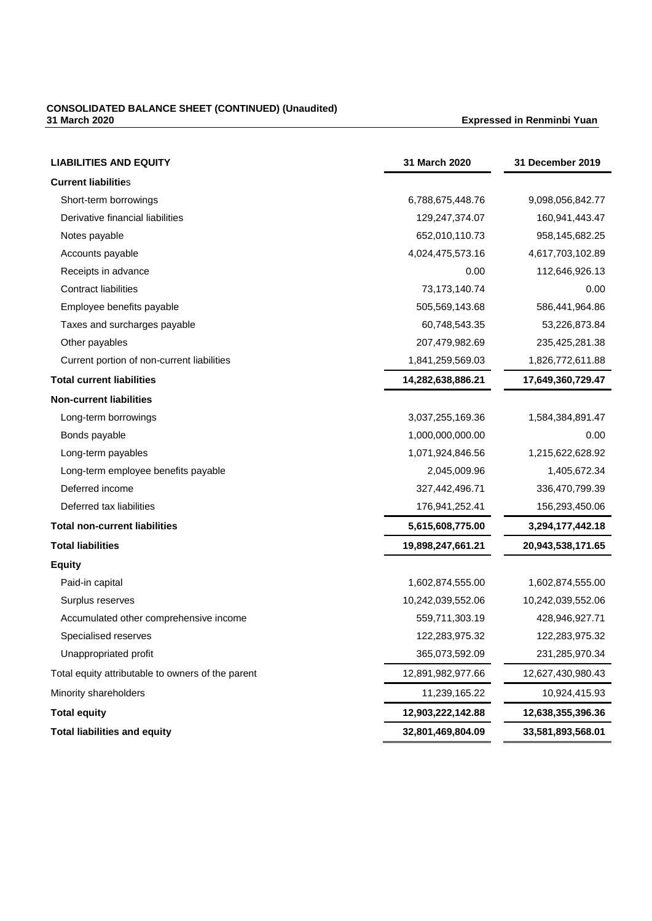### **CONSOLIDATED BALANCE SHEET (CONTINUED) (Unaudited) 31 March 2020 Expressed in Renminbi Yuan**

| <b>LIABILITIES AND EQUITY</b>                     | 31 March 2020     | 31 December 2019  |
|---------------------------------------------------|-------------------|-------------------|
| <b>Current liabilities</b>                        |                   |                   |
| Short-term borrowings                             | 6,788,675,448.76  | 9,098,056,842.77  |
| Derivative financial liabilities                  | 129,247,374.07    | 160,941,443.47    |
| Notes payable                                     | 652,010,110.73    | 958,145,682.25    |
| Accounts payable                                  | 4,024,475,573.16  | 4,617,703,102.89  |
| Receipts in advance                               | 0.00              | 112,646,926.13    |
| <b>Contract liabilities</b>                       | 73, 173, 140. 74  | 0.00              |
| Employee benefits payable                         | 505,569,143.68    | 586,441,964.86    |
| Taxes and surcharges payable                      | 60,748,543.35     | 53,226,873.84     |
| Other payables                                    | 207,479,982.69    | 235,425,281.38    |
| Current portion of non-current liabilities        | 1,841,259,569.03  | 1,826,772,611.88  |
| <b>Total current liabilities</b>                  | 14,282,638,886.21 | 17,649,360,729.47 |
| <b>Non-current liabilities</b>                    |                   |                   |
| Long-term borrowings                              | 3,037,255,169.36  | 1,584,384,891.47  |
| Bonds payable                                     | 1,000,000,000.00  | 0.00              |
| Long-term payables                                | 1,071,924,846.56  | 1,215,622,628.92  |
| Long-term employee benefits payable               | 2,045,009.96      | 1,405,672.34      |
| Deferred income                                   | 327,442,496.71    | 336,470,799.39    |
| Deferred tax liabilities                          | 176,941,252.41    | 156,293,450.06    |
| <b>Total non-current liabilities</b>              | 5,615,608,775.00  | 3,294,177,442.18  |
| <b>Total liabilities</b>                          | 19,898,247,661.21 | 20,943,538,171.65 |
| <b>Equity</b>                                     |                   |                   |
| Paid-in capital                                   | 1,602,874,555.00  | 1,602,874,555.00  |
| Surplus reserves                                  | 10,242,039,552.06 | 10,242,039,552.06 |
| Accumulated other comprehensive income            | 559,711,303.19    | 428,946,927.71    |
| Specialised reserves                              | 122,283,975.32    | 122,283,975.32    |
| Unappropriated profit                             | 365,073,592.09    | 231,285,970.34    |
| Total equity attributable to owners of the parent | 12,891,982,977.66 | 12,627,430,980.43 |
| Minority shareholders                             | 11,239,165.22     | 10,924,415.93     |
| <b>Total equity</b>                               | 12,903,222,142.88 | 12,638,355,396.36 |
| <b>Total liabilities and equity</b>               | 32,801,469,804.09 | 33,581,893,568.01 |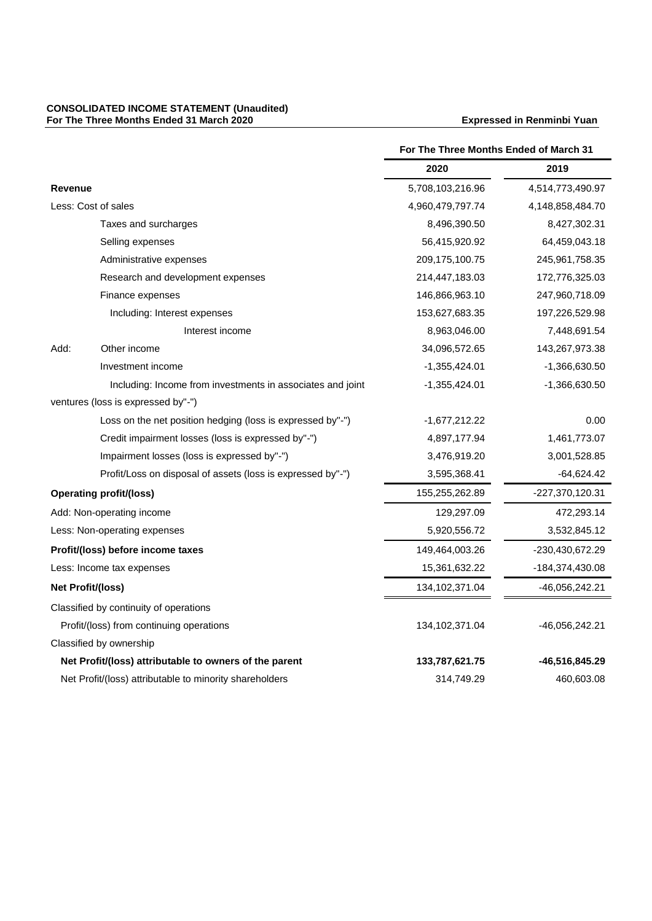#### **CONSOLIDATED INCOME STATEMENT (Unaudited) For The Three Months Ended 31 March 2020 Expressed in Renminbi Yuan**

|                          |                                                             | For The Three Months Ended of March 31 |                  |
|--------------------------|-------------------------------------------------------------|----------------------------------------|------------------|
|                          |                                                             | 2020                                   | 2019             |
| <b>Revenue</b>           |                                                             | 5,708,103,216.96                       | 4,514,773,490.97 |
|                          | Less: Cost of sales                                         | 4,960,479,797.74                       | 4,148,858,484.70 |
|                          | Taxes and surcharges                                        | 8,496,390.50                           | 8,427,302.31     |
|                          | Selling expenses                                            | 56,415,920.92                          | 64,459,043.18    |
|                          | Administrative expenses                                     | 209, 175, 100. 75                      | 245,961,758.35   |
|                          | Research and development expenses                           | 214,447,183.03                         | 172,776,325.03   |
|                          | Finance expenses                                            | 146,866,963.10                         | 247,960,718.09   |
|                          | Including: Interest expenses                                | 153,627,683.35                         | 197,226,529.98   |
|                          | Interest income                                             | 8,963,046.00                           | 7,448,691.54     |
| Add:                     | Other income                                                | 34,096,572.65                          | 143,267,973.38   |
|                          | Investment income                                           | $-1,355,424.01$                        | -1,366,630.50    |
|                          | Including: Income from investments in associates and joint  | $-1,355,424.01$                        | $-1,366,630.50$  |
|                          | ventures (loss is expressed by"-")                          |                                        |                  |
|                          | Loss on the net position hedging (loss is expressed by"-")  | $-1,677,212.22$                        | 0.00             |
|                          | Credit impairment losses (loss is expressed by"-")          | 4,897,177.94                           | 1,461,773.07     |
|                          | Impairment losses (loss is expressed by"-")                 | 3,476,919.20                           | 3,001,528.85     |
|                          | Profit/Loss on disposal of assets (loss is expressed by"-") | 3,595,368.41                           | $-64,624.42$     |
|                          | <b>Operating profit/(loss)</b>                              | 155,255,262.89                         | -227,370,120.31  |
|                          | Add: Non-operating income                                   | 129,297.09                             | 472,293.14       |
|                          | Less: Non-operating expenses                                | 5,920,556.72                           | 3,532,845.12     |
|                          | Profit/(loss) before income taxes                           | 149,464,003.26                         | -230,430,672.29  |
|                          | Less: Income tax expenses                                   | 15,361,632.22                          | -184,374,430.08  |
| <b>Net Profit/(loss)</b> |                                                             | 134,102,371.04                         | -46,056,242.21   |
|                          | Classified by continuity of operations                      |                                        |                  |
|                          | Profit/(loss) from continuing operations                    | 134, 102, 371.04                       | -46,056,242.21   |
|                          | Classified by ownership                                     |                                        |                  |
|                          | Net Profit/(loss) attributable to owners of the parent      | 133,787,621.75                         | -46,516,845.29   |
|                          | Net Profit/(loss) attributable to minority shareholders     | 314,749.29                             | 460,603.08       |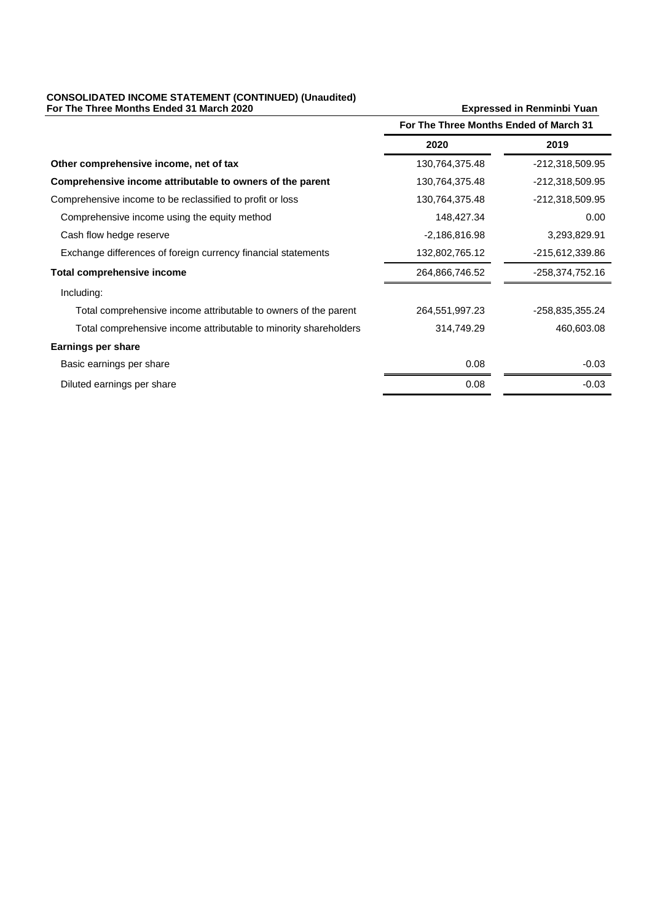#### **CONSOLIDATED INCOME STATEMENT (CONTINUED) (Unaudited) For The Three Months Ended 31 March 2020 Expressed in Renminbi Yuan**

|                                                                  | For The Three Months Ended of March 31 |                 |
|------------------------------------------------------------------|----------------------------------------|-----------------|
|                                                                  | 2020                                   | 2019            |
| Other comprehensive income, net of tax                           | 130,764,375.48                         | -212,318,509.95 |
| Comprehensive income attributable to owners of the parent        | 130,764,375.48                         | -212,318,509.95 |
| Comprehensive income to be reclassified to profit or loss        | 130,764,375.48                         | -212,318,509.95 |
| Comprehensive income using the equity method                     | 148,427.34                             | 0.00            |
| Cash flow hedge reserve                                          | $-2,186,816.98$                        | 3,293,829.91    |
| Exchange differences of foreign currency financial statements    | 132,802,765.12                         | -215,612,339.86 |
| Total comprehensive income                                       | 264,866,746.52                         | -258,374,752.16 |
| Including:                                                       |                                        |                 |
| Total comprehensive income attributable to owners of the parent  | 264,551,997.23                         | -258,835,355.24 |
| Total comprehensive income attributable to minority shareholders | 314,749.29                             | 460,603.08      |
| <b>Earnings per share</b>                                        |                                        |                 |
| Basic earnings per share                                         | 0.08                                   | $-0.03$         |
| Diluted earnings per share                                       | 0.08                                   | $-0.03$         |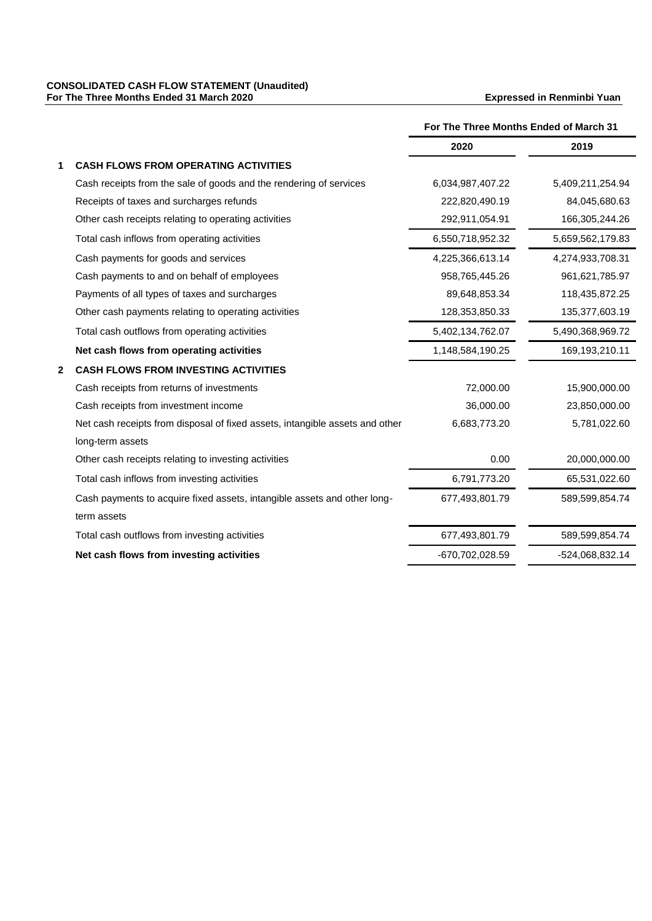#### **CONSOLIDATED CASH FLOW STATEMENT (Unaudited) For The Three Months Ended 31 March 2020 Expressed in Renminbi Yuan**

|              |                                                                              | For The Three Months Ended of March 31 |                  |
|--------------|------------------------------------------------------------------------------|----------------------------------------|------------------|
|              |                                                                              | 2020                                   | 2019             |
|              | <b>CASH FLOWS FROM OPERATING ACTIVITIES</b>                                  |                                        |                  |
|              | Cash receipts from the sale of goods and the rendering of services           | 6,034,987,407.22                       | 5,409,211,254.94 |
|              | Receipts of taxes and surcharges refunds                                     | 222,820,490.19                         | 84,045,680.63    |
|              | Other cash receipts relating to operating activities                         | 292,911,054.91                         | 166,305,244.26   |
|              | Total cash inflows from operating activities                                 | 6,550,718,952.32                       | 5,659,562,179.83 |
|              | Cash payments for goods and services                                         | 4,225,366,613.14                       | 4,274,933,708.31 |
|              | Cash payments to and on behalf of employees                                  | 958,765,445.26                         | 961,621,785.97   |
|              | Payments of all types of taxes and surcharges                                | 89,648,853.34                          | 118,435,872.25   |
|              | Other cash payments relating to operating activities                         | 128,353,850.33                         | 135,377,603.19   |
|              | Total cash outflows from operating activities                                | 5,402,134,762.07                       | 5,490,368,969.72 |
|              | Net cash flows from operating activities                                     | 1,148,584,190.25                       | 169,193,210.11   |
| $\mathbf{2}$ | <b>CASH FLOWS FROM INVESTING ACTIVITIES</b>                                  |                                        |                  |
|              | Cash receipts from returns of investments                                    | 72,000.00                              | 15,900,000.00    |
|              | Cash receipts from investment income                                         | 36,000.00                              | 23,850,000.00    |
|              | Net cash receipts from disposal of fixed assets, intangible assets and other | 6,683,773.20                           | 5,781,022.60     |
|              | long-term assets                                                             |                                        |                  |
|              | Other cash receipts relating to investing activities                         | 0.00                                   | 20,000,000.00    |
|              | Total cash inflows from investing activities                                 | 6,791,773.20                           | 65,531,022.60    |
|              | Cash payments to acquire fixed assets, intangible assets and other long-     | 677,493,801.79                         | 589,599,854.74   |
|              | term assets                                                                  |                                        |                  |
|              | Total cash outflows from investing activities                                | 677,493,801.79                         | 589,599,854.74   |
|              | Net cash flows from investing activities                                     | -670,702,028.59                        | -524,068,832.14  |